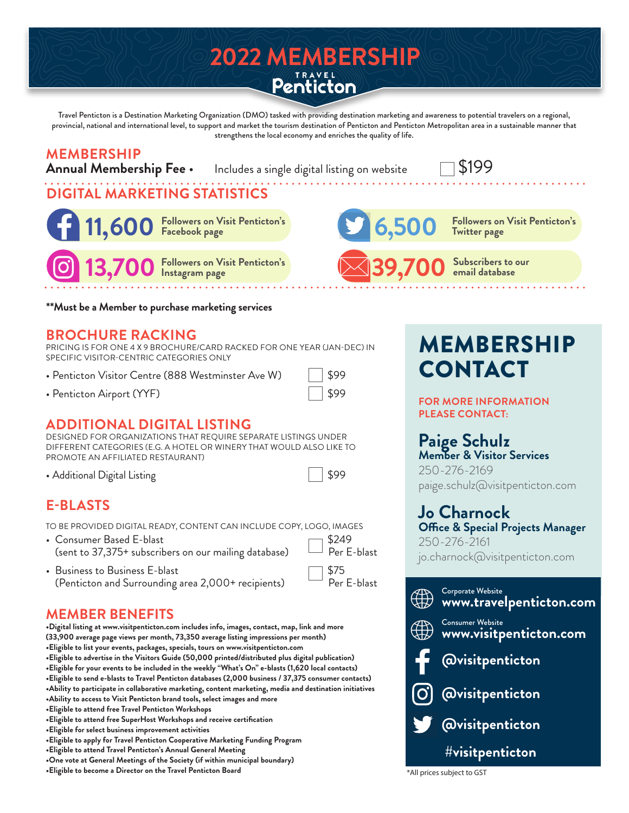# 2022 MEMBERSHIP<br>Penticton

Travel Penticton is a Destination Marketing Organization (DMO) tasked with providing destination marketing and awareness to potential travelers on a regional, provincial, national and international level, to support and market the tourism destination of Penticton and Penticton Metropolitan area in a sustainable manner that strengthens the local economy and enriches the quality of life.

## **MEMBERSHIP**

**Annual Membership Includes a single digital listing on website 1999** 

### **DIGITAL MARKETING STATISTICS**

**Followers on Visit Penticton's 11,600 Facebook page**

**Followers on Visit Penticton's 13,700 Instagram page**



**Followers on Visit Penticton's 6,500 Twitter page**

**39,700 Subscribers to our email database**

#### **\*\*Must be a Member to purchase marketing services**

#### **BROCHURE RACKING**

PRICING IS FOR ONE 4 X 9 BROCHURE/CARD RACKED FOR ONE YEAR (JAN-DEC) IN SPECIFIC VISITOR-CENTRIC CATEGORIES ONLY

- Penticton Visitor Centre (888 Westminster Ave W)  $\|\$  \$99
- Penticton Airport (YYF) \$99

#### **ADDITIONAL DIGITAL LISTING**

DESIGNED FOR ORGANIZATIONS THAT REQUIRE SEPARATE LISTINGS UNDER DIFFERENT CATEGORIES (E.G. A HOTEL OR WINERY THAT WOULD ALSO LIKE TO PROMOTE AN AFFILIATED RESTAURANT)

• Additional Digital Listing

|--|

#### **E-BLASTS**

TO BE PROVIDED DIGITAL READY, CONTENT CAN INCLUDE COPY, LOGO, IMAGES

- Consumer Based E-blast<br>(sent to 37.375+ subscribers on our mailing database)  $\Box$  Per E-blast (sent to 37,375+ subscribers on our mailing database)
- Business to Business E-blast (Penticton and Surrounding area 2,000+ recipients)

| $\sim$ | - 2000      |
|--------|-------------|
| \$75   | Per E-blast |
|        |             |

#### **MEMBER BENEFITS**

**•Digital listing at www.visitpenticton.com includes info, images, contact, map, link and more (33,900 average page views per month, 73,350 average listing impressions per month) •Eligible to list your events, packages, specials, tours on www.visitpenticton.com •Eligible to advertise in the Visitors Guide (50,000 printed/distributed plus digital publication) •Eligible for your events to be included in the weekly "What's On" e-blasts (1,620 local contacts) •Eligible to send e-blasts to Travel Penticton databases (2,000 business / 37,375 consumer contacts) •Ability to participate in collaborative marketing, content marketing, media and destination initiatives •Ability to access to Visit Penticton brand tools, select images and more •Eligible to attend free Travel Penticton Workshops •Eligible to attend free SuperHost Workshops and receive certification •Eligible for select business improvement activities •Eligible to apply for Travel Penticton Cooperative Marketing Funding Program •Eligible to attend Travel Penticton's Annual General Meeting •One vote at General Meetings of the Society (if within municipal boundary)**

•Eligible to become a Director on the Travel Penticton Board **Figure 2016** \*All prices subject to GST

## MEMBERSHIP CONTACT

**FOR MORE INFORMATION PLEASE CONTACT:**

#### **Paige Schulz**

**Member & Visitor Services** 250-276-2169 paige.schulz@visitpenticton.com

#### **Jo Charnock**

**Office & Special Projects Manager** 250-276-2161 jo.charnock@visitpenticton.com

|                         | Corporate Website<br>www.travelpenticton.com |  |  |  |
|-------------------------|----------------------------------------------|--|--|--|
| $\bigoplus$             | Consumer Website<br>WWW.visitpenticton.com   |  |  |  |
|                         | <b>E</b> @visitpenticton                     |  |  |  |
|                         | O @visitpenticton                            |  |  |  |
|                         | <b>Ovisitpenticton</b>                       |  |  |  |
| <b>#visitpenticton</b>  |                                              |  |  |  |
| I prices subject to CST |                                              |  |  |  |